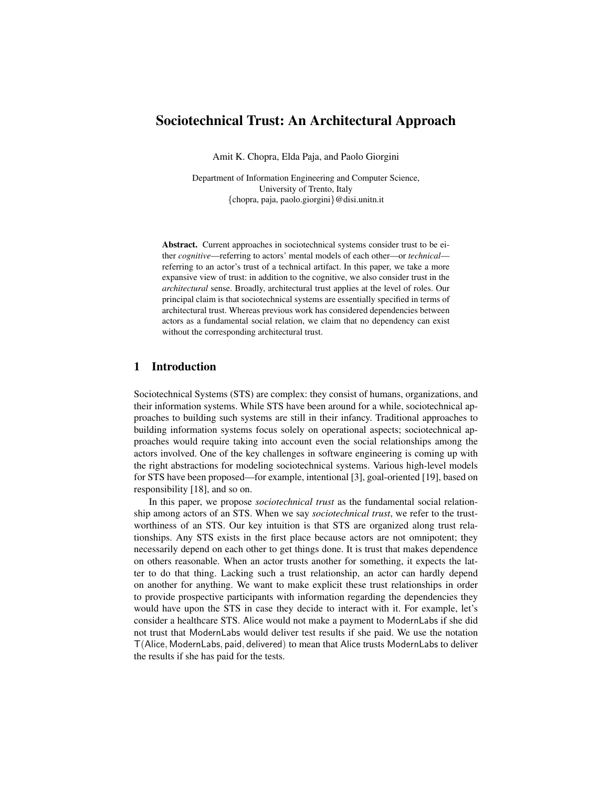# Sociotechnical Trust: An Architectural Approach

Amit K. Chopra, Elda Paja, and Paolo Giorgini

Department of Information Engineering and Computer Science, University of Trento, Italy {chopra, paja, paolo.giorgini}@disi.unitn.it

Abstract. Current approaches in sociotechnical systems consider trust to be either *cognitive*—referring to actors' mental models of each other—or *technical* referring to an actor's trust of a technical artifact. In this paper, we take a more expansive view of trust: in addition to the cognitive, we also consider trust in the *architectural* sense. Broadly, architectural trust applies at the level of roles. Our principal claim is that sociotechnical systems are essentially specified in terms of architectural trust. Whereas previous work has considered dependencies between actors as a fundamental social relation, we claim that no dependency can exist without the corresponding architectural trust.

## 1 Introduction

Sociotechnical Systems (STS) are complex: they consist of humans, organizations, and their information systems. While STS have been around for a while, sociotechnical approaches to building such systems are still in their infancy. Traditional approaches to building information systems focus solely on operational aspects; sociotechnical approaches would require taking into account even the social relationships among the actors involved. One of the key challenges in software engineering is coming up with the right abstractions for modeling sociotechnical systems. Various high-level models for STS have been proposed—for example, intentional [3], goal-oriented [19], based on responsibility [18], and so on.

In this paper, we propose *sociotechnical trust* as the fundamental social relationship among actors of an STS. When we say *sociotechnical trust*, we refer to the trustworthiness of an STS. Our key intuition is that STS are organized along trust relationships. Any STS exists in the first place because actors are not omnipotent; they necessarily depend on each other to get things done. It is trust that makes dependence on others reasonable. When an actor trusts another for something, it expects the latter to do that thing. Lacking such a trust relationship, an actor can hardly depend on another for anything. We want to make explicit these trust relationships in order to provide prospective participants with information regarding the dependencies they would have upon the STS in case they decide to interact with it. For example, let's consider a healthcare STS. Alice would not make a payment to ModernLabs if she did not trust that ModernLabs would deliver test results if she paid. We use the notation T(Alice, ModernLabs, paid, delivered) to mean that Alice trusts ModernLabs to deliver the results if she has paid for the tests.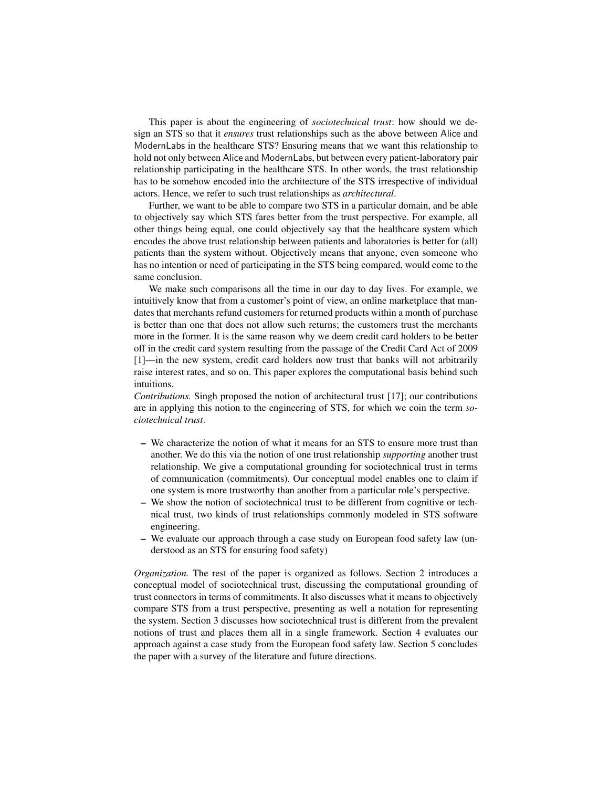This paper is about the engineering of *sociotechnical trust*: how should we design an STS so that it *ensures* trust relationships such as the above between Alice and ModernLabs in the healthcare STS? Ensuring means that we want this relationship to hold not only between Alice and ModernLabs, but between every patient-laboratory pair relationship participating in the healthcare STS. In other words, the trust relationship has to be somehow encoded into the architecture of the STS irrespective of individual actors. Hence, we refer to such trust relationships as *architectural*.

Further, we want to be able to compare two STS in a particular domain, and be able to objectively say which STS fares better from the trust perspective. For example, all other things being equal, one could objectively say that the healthcare system which encodes the above trust relationship between patients and laboratories is better for (all) patients than the system without. Objectively means that anyone, even someone who has no intention or need of participating in the STS being compared, would come to the same conclusion.

We make such comparisons all the time in our day to day lives. For example, we intuitively know that from a customer's point of view, an online marketplace that mandates that merchants refund customers for returned products within a month of purchase is better than one that does not allow such returns; the customers trust the merchants more in the former. It is the same reason why we deem credit card holders to be better off in the credit card system resulting from the passage of the Credit Card Act of 2009 [1]—in the new system, credit card holders now trust that banks will not arbitrarily raise interest rates, and so on. This paper explores the computational basis behind such intuitions.

*Contributions.* Singh proposed the notion of architectural trust [17]; our contributions are in applying this notion to the engineering of STS, for which we coin the term *sociotechnical trust*.

- We characterize the notion of what it means for an STS to ensure more trust than another. We do this via the notion of one trust relationship *supporting* another trust relationship. We give a computational grounding for sociotechnical trust in terms of communication (commitments). Our conceptual model enables one to claim if one system is more trustworthy than another from a particular role's perspective.
- We show the notion of sociotechnical trust to be different from cognitive or technical trust, two kinds of trust relationships commonly modeled in STS software engineering.
- We evaluate our approach through a case study on European food safety law (understood as an STS for ensuring food safety)

*Organization.* The rest of the paper is organized as follows. Section 2 introduces a conceptual model of sociotechnical trust, discussing the computational grounding of trust connectors in terms of commitments. It also discusses what it means to objectively compare STS from a trust perspective, presenting as well a notation for representing the system. Section 3 discusses how sociotechnical trust is different from the prevalent notions of trust and places them all in a single framework. Section 4 evaluates our approach against a case study from the European food safety law. Section 5 concludes the paper with a survey of the literature and future directions.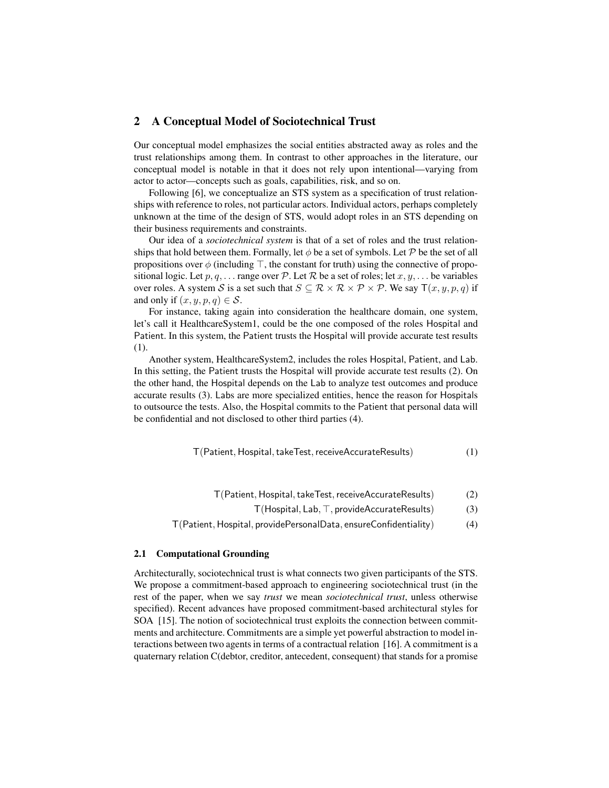### 2 A Conceptual Model of Sociotechnical Trust

Our conceptual model emphasizes the social entities abstracted away as roles and the trust relationships among them. In contrast to other approaches in the literature, our conceptual model is notable in that it does not rely upon intentional—varying from actor to actor—concepts such as goals, capabilities, risk, and so on.

Following [6], we conceptualize an STS system as a specification of trust relationships with reference to roles, not particular actors. Individual actors, perhaps completely unknown at the time of the design of STS, would adopt roles in an STS depending on their business requirements and constraints.

Our idea of a *sociotechnical system* is that of a set of roles and the trust relationships that hold between them. Formally, let  $\phi$  be a set of symbols. Let P be the set of all propositions over  $\phi$  (including  $\top$ , the constant for truth) using the connective of propositional logic. Let  $p, q, \ldots$  range over  $P$ . Let  $R$  be a set of roles; let  $x, y, \ldots$  be variables over roles. A system S is a set such that  $S \subseteq \mathcal{R} \times \mathcal{R} \times \mathcal{P} \times \mathcal{P}$ . We say  $T(x, y, p, q)$  if and only if  $(x, y, p, q) \in S$ .

For instance, taking again into consideration the healthcare domain, one system, let's call it HealthcareSystem1, could be the one composed of the roles Hospital and Patient. In this system, the Patient trusts the Hospital will provide accurate test results (1).

Another system, HealthcareSystem2, includes the roles Hospital, Patient, and Lab. In this setting, the Patient trusts the Hospital will provide accurate test results (2). On the other hand, the Hospital depends on the Lab to analyze test outcomes and produce accurate results (3). Labs are more specialized entities, hence the reason for Hospitals to outsource the tests. Also, the Hospital commits to the Patient that personal data will be confidential and not disclosed to other third parties (4).

$$
T(Patient, Hospital, takeTest, receive AccurateResults) \qquad (1)
$$

- $T(Patient, Hospital, takeTest, receiveAccurateResults)$  (2)
	- $T(Hospital, Lab, T, provideAccurateResults)$  (3)
- T(Patient, Hospital, providePersonalData, ensureConfidentiality) (4)

#### 2.1 Computational Grounding

Architecturally, sociotechnical trust is what connects two given participants of the STS. We propose a commitment-based approach to engineering sociotechnical trust (in the rest of the paper, when we say *trust* we mean *sociotechnical trust*, unless otherwise specified). Recent advances have proposed commitment-based architectural styles for SOA [15]. The notion of sociotechnical trust exploits the connection between commitments and architecture. Commitments are a simple yet powerful abstraction to model interactions between two agents in terms of a contractual relation [16]. A commitment is a quaternary relation C(debtor, creditor, antecedent, consequent) that stands for a promise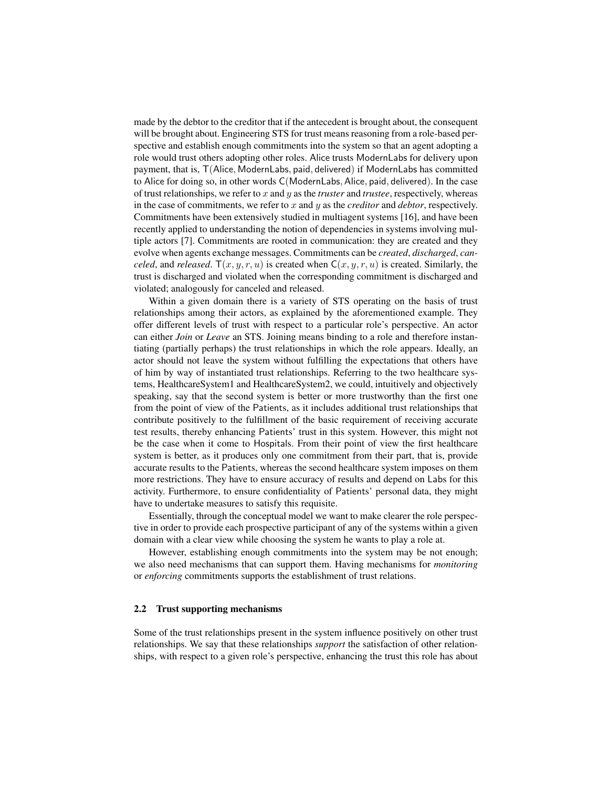made by the debtor to the creditor that if the antecedent is brought about, the consequent will be brought about. Engineering STS for trust means reasoning from a role-based perspective and establish enough commitments into the system so that an agent adopting a role would trust others adopting other roles. Alice trusts ModernLabs for delivery upon payment, that is, T(Alice, ModernLabs, paid, delivered) if ModernLabs has committed to Alice for doing so, in other words C(ModernLabs, Alice, paid, delivered). In the case of trust relationships, we refer to x and  $y$  as the *truster* and *trustee*, respectively, whereas in the case of commitments, we refer to x and y as the *creditor* and *debtor*, respectively. Commitments have been extensively studied in multiagent systems [16], and have been recently applied to understanding the notion of dependencies in systems involving multiple actors [7]. Commitments are rooted in communication: they are created and they evolve when agents exchange messages. Commitments can be *created*, *discharged*, *canceled*, and *released*.  $T(x, y, r, u)$  is created when  $C(x, y, r, u)$  is created. Similarly, the trust is discharged and violated when the corresponding commitment is discharged and violated; analogously for canceled and released.

Within a given domain there is a variety of STS operating on the basis of trust relationships among their actors, as explained by the aforementioned example. They offer different levels of trust with respect to a particular role's perspective. An actor can either *Join* or *Leave* an STS. Joining means binding to a role and therefore instantiating (partially perhaps) the trust relationships in which the role appears. Ideally, an actor should not leave the system without fulfilling the expectations that others have of him by way of instantiated trust relationships. Referring to the two healthcare systems, HealthcareSystem1 and HealthcareSystem2, we could, intuitively and objectively speaking, say that the second system is better or more trustworthy than the first one from the point of view of the Patients, as it includes additional trust relationships that contribute positively to the fulfillment of the basic requirement of receiving accurate test results, thereby enhancing Patients' trust in this system. However, this might not be the case when it come to Hospitals. From their point of view the first healthcare system is better, as it produces only one commitment from their part, that is, provide accurate results to the Patients, whereas the second healthcare system imposes on them more restrictions. They have to ensure accuracy of results and depend on Labs for this activity. Furthermore, to ensure confidentiality of Patients' personal data, they might have to undertake measures to satisfy this requisite.

Essentially, through the conceptual model we want to make clearer the role perspective in order to provide each prospective participant of any of the systems within a given domain with a clear view while choosing the system he wants to play a role at.

However, establishing enough commitments into the system may be not enough; we also need mechanisms that can support them. Having mechanisms for *monitoring* or *enforcing* commitments supports the establishment of trust relations.

#### 2.2 Trust supporting mechanisms

Some of the trust relationships present in the system influence positively on other trust relationships. We say that these relationships *support* the satisfaction of other relationships, with respect to a given role's perspective, enhancing the trust this role has about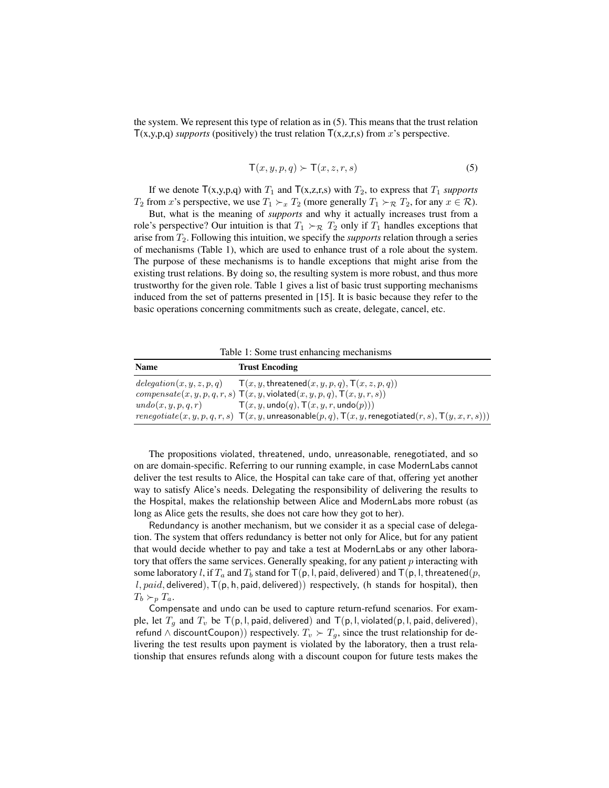the system. We represent this type of relation as in (5). This means that the trust relation  $T(x,y,p,q)$  *supports* (positively) the trust relation  $T(x,z,r,s)$  from x's perspective.

$$
T(x, y, p, q) \succ T(x, z, r, s) \tag{5}
$$

If we denote  $T(x,y,p,q)$  with  $T_1$  and  $T(x,z,r,s)$  with  $T_2$ , to express that  $T_1$  *supports*  $T_2$  from x's perspective, we use  $T_1 \succ_x T_2$  (more generally  $T_1 \succ_R T_2$ , for any  $x \in \mathcal{R}$ ).

But, what is the meaning of *supports* and why it actually increases trust from a role's perspective? Our intuition is that  $T_1 \succ_R T_2$  only if  $T_1$  handles exceptions that arise from T2. Following this intuition, we specify the *supports* relation through a series of mechanisms (Table 1), which are used to enhance trust of a role about the system. The purpose of these mechanisms is to handle exceptions that might arise from the existing trust relations. By doing so, the resulting system is more robust, and thus more trustworthy for the given role. Table 1 gives a list of basic trust supporting mechanisms induced from the set of patterns presented in [15]. It is basic because they refer to the basic operations concerning commitments such as create, delegate, cancel, etc.

Table 1: Some trust enhancing mechanisms

| <b>Name</b>               | <b>Trust Encoding</b>                                                                                                                               |
|---------------------------|-----------------------------------------------------------------------------------------------------------------------------------------------------|
| delegation(x, y, z, p, q) | $T(x, y, \text{thread}(x, y, p, q), T(x, z, p, q))$                                                                                                 |
|                           | compensate $(x, y, p, q, r, s)$ $\mathsf{T}(x, y, \text{violated}(x, y, p, q), \mathsf{T}(x, y, r, s))$                                             |
| undo(x, y, p, q, r)       | $\mathsf{T}(x, y, \mathsf{undo}(q), \mathsf{T}(x, y, r, \mathsf{undo}(p)))$                                                                         |
|                           | renegotiate $(x, y, p, q, r, s)$ $\mathsf{T}(x, y, \text{unreasonable}(p, q), \mathsf{T}(x, y, \text{renegotiated}(r, s), \mathsf{T}(y, x, r, s)))$ |

The propositions violated, threatened, undo, unreasonable, renegotiated, and so on are domain-specific. Referring to our running example, in case ModernLabs cannot deliver the test results to Alice, the Hospital can take care of that, offering yet another way to satisfy Alice's needs. Delegating the responsibility of delivering the results to the Hospital, makes the relationship between Alice and ModernLabs more robust (as long as Alice gets the results, she does not care how they got to her).

Redundancy is another mechanism, but we consider it as a special case of delegation. The system that offers redundancy is better not only for Alice, but for any patient that would decide whether to pay and take a test at ModernLabs or any other laboratory that offers the same services. Generally speaking, for any patient  $p$  interacting with some laboratory l, if  $T_a$  and  $T_b$  stand for  $\mathsf{T}(p, l, p$  paid, delivered) and  $\mathsf{T}(p, l, t)$  threatened $(p, l, r)$  $l, paid, delivered), T(p, h, paid, delivered))$  respectively, (h stands for hospital), then  $T_b \succ_p T_a$ .

Compensate and undo can be used to capture return-refund scenarios. For example, let  $T_q$  and  $T_v$  be  $T(p, l, p$ aid, delivered) and  $T(p, l, v$ iolated $(p, l, p$ aid, delivered), refund ∧ discountCoupon)) respectively.  $T_v \succ T_g$ , since the trust relationship for delivering the test results upon payment is violated by the laboratory, then a trust relationship that ensures refunds along with a discount coupon for future tests makes the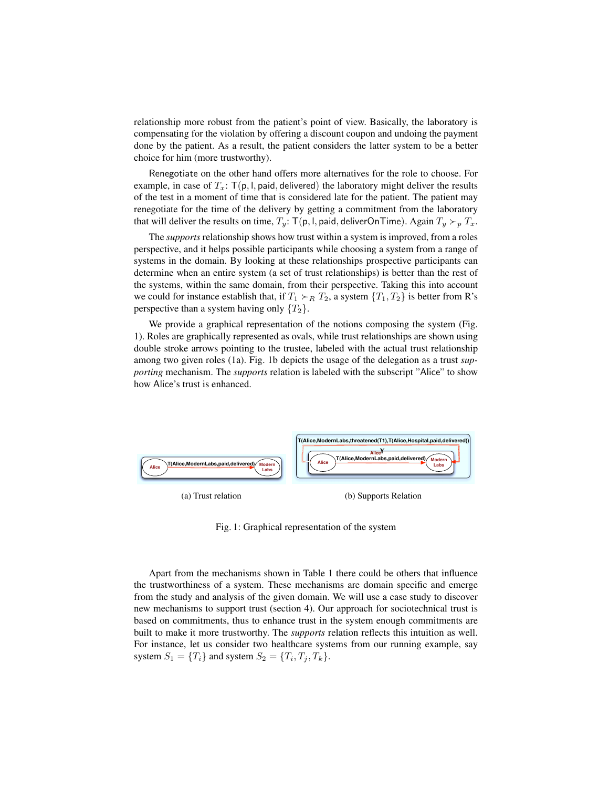relationship more robust from the patient's point of view. Basically, the laboratory is compensating for the violation by offering a discount coupon and undoing the payment done by the patient. As a result, the patient considers the latter system to be a better choice for him (more trustworthy).

Renegotiate on the other hand offers more alternatives for the role to choose. For example, in case of  $T_x$ :  $T(p, l, paid, delivered)$  the laboratory might deliver the results of the test in a moment of time that is considered late for the patient. The patient may renegotiate for the time of the delivery by getting a commitment from the laboratory that will deliver the results on time,  $T_y$ : T(p, l, paid, deliverOnTime). Again  $T_y \succ_p T_x$ .

The *supports* relationship shows how trust within a system is improved, from a roles perspective, and it helps possible participants while choosing a system from a range of systems in the domain. By looking at these relationships prospective participants can determine when an entire system (a set of trust relationships) is better than the rest of the systems, within the same domain, from their perspective. Taking this into account we could for instance establish that, if  $T_1 \succ_R T_2$ , a system  $\{T_1, T_2\}$  is better from R's perspective than a system having only  $\{T_2\}$ .

We provide a graphical representation of the notions composing the system (Fig. 1). Roles are graphically represented as ovals, while trust relationships are shown using double stroke arrows pointing to the trustee, labeled with the actual trust relationship among two given roles (1a). Fig. 1b depicts the usage of the delegation as a trust *supporting* mechanism. The *supports* relation is labeled with the subscript "Alice" to show how Alice's trust is enhanced.



Fig. 1: Graphical representation of the system

Apart from the mechanisms shown in Table 1 there could be others that influence the trustworthiness of a system. These mechanisms are domain specific and emerge from the study and analysis of the given domain. We will use a case study to discover new mechanisms to support trust (section 4). Our approach for sociotechnical trust is based on commitments, thus to enhance trust in the system enough commitments are built to make it more trustworthy. The *supports* relation reflects this intuition as well. For instance, let us consider two healthcare systems from our running example, say system  $S_1 = \{T_i\}$  and system  $S_2 = \{T_i, T_j, T_k\}.$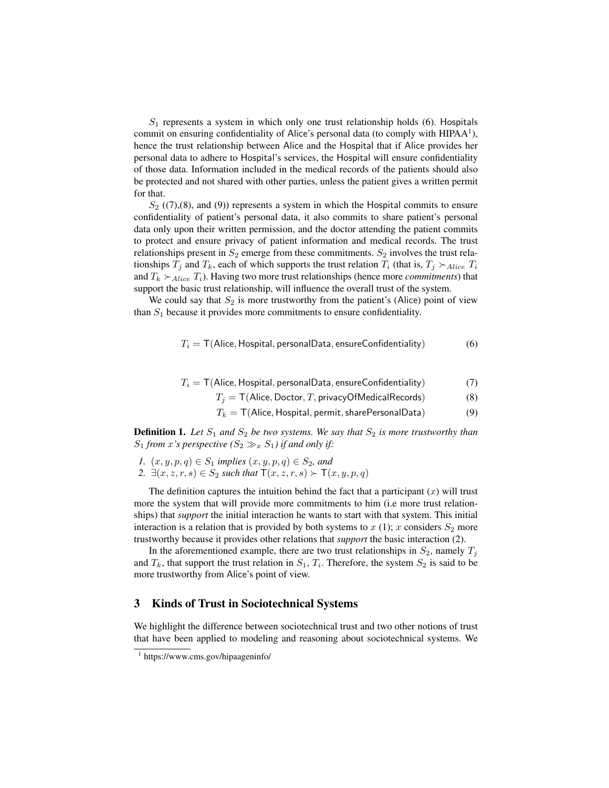$S_1$  represents a system in which only one trust relationship holds (6). Hospitals commit on ensuring confidentiality of Alice's personal data (to comply with HIPAA<sup>1</sup>), hence the trust relationship between Alice and the Hospital that if Alice provides her personal data to adhere to Hospital's services, the Hospital will ensure confidentiality of those data. Information included in the medical records of the patients should also be protected and not shared with other parties, unless the patient gives a written permit for that.

 $S_2$  ((7),(8), and (9)) represents a system in which the Hospital commits to ensure confidentiality of patient's personal data, it also commits to share patient's personal data only upon their written permission, and the doctor attending the patient commits to protect and ensure privacy of patient information and medical records. The trust relationships present in  $S_2$  emerge from these commitments.  $S_2$  involves the trust relationships  $T_i$  and  $T_k$ , each of which supports the trust relation  $T_i$  (that is,  $T_j \succ_{Alice} T_i$ and  $T_k \succ_{Alice} T_i$ ). Having two more trust relationships (hence more *commitments*) that support the basic trust relationship, will influence the overall trust of the system.

We could say that  $S_2$  is more trustworthy from the patient's (Alice) point of view than  $S_1$  because it provides more commitments to ensure confidentiality.

$$
T_i = \mathsf{T}(\text{Alice}, \text{Hospital}, \text{personalData}, \text{ensure} \text{Confidentiality})
$$
 (6)

$$
T_i = T(\text{Alice}, \text{Hospital}, \text{personalData}, \text{ensureCondition} \text{indentiality}) \tag{7}
$$

$$
T_j = \mathsf{T}(\text{Alice}, \text{ Doctor}, T, \text{ privacyOfMedia|Records}) \tag{8}
$$

$$
T_k = T(\text{Alice}, \text{Hospital}, \text{permit}, \text{sharePersonalData}) \tag{9}
$$

**Definition 1.** Let  $S_1$  and  $S_2$  be two systems. We say that  $S_2$  is more trustworthy than  $S_1$  *from x's perspective*  $(S_2 \gg_x S_1)$  *if and only if:* 

- *1.*  $(x, y, p, q) \in S_1$  *implies*  $(x, y, p, q) \in S_2$ *, and*
- 2.  $\exists (x, z, r, s) \in S_2$  *such that*  $\mathsf{T}(x, z, r, s) \succ \mathsf{T}(x, y, p, q)$

The definition captures the intuition behind the fact that a participant  $(x)$  will trust more the system that will provide more commitments to him (i.e more trust relationships) that *support* the initial interaction he wants to start with that system. This initial interaction is a relation that is provided by both systems to x (1); x considers  $S_2$  more trustworthy because it provides other relations that *support* the basic interaction (2).

In the aforementioned example, there are two trust relationships in  $S_2$ , namely  $T_i$ and  $T_k$ , that support the trust relation in  $S_1$ ,  $T_i$ . Therefore, the system  $S_2$  is said to be more trustworthy from Alice's point of view.

## 3 Kinds of Trust in Sociotechnical Systems

We highlight the difference between sociotechnical trust and two other notions of trust that have been applied to modeling and reasoning about sociotechnical systems. We

<sup>1</sup> https://www.cms.gov/hipaageninfo/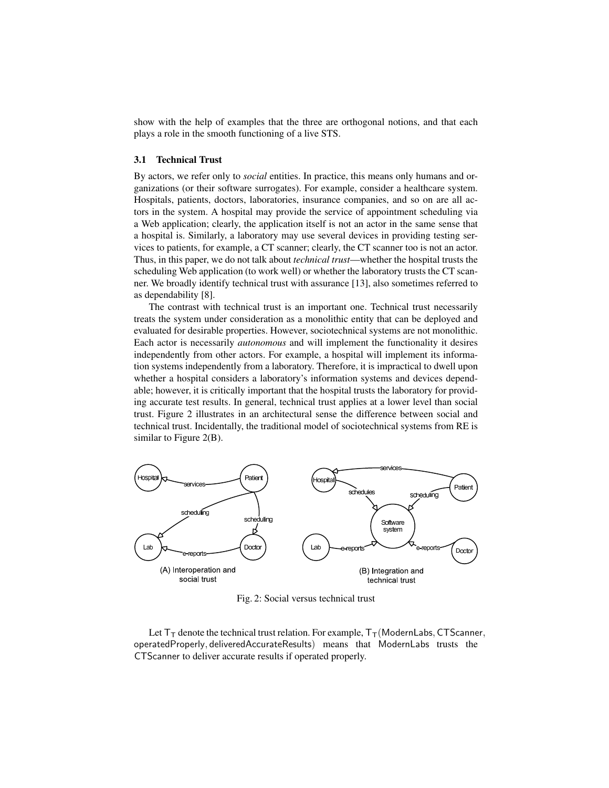show with the help of examples that the three are orthogonal notions, and that each plays a role in the smooth functioning of a live STS.

#### 3.1 Technical Trust

By actors, we refer only to *social* entities. In practice, this means only humans and organizations (or their software surrogates). For example, consider a healthcare system. Hospitals, patients, doctors, laboratories, insurance companies, and so on are all actors in the system. A hospital may provide the service of appointment scheduling via a Web application; clearly, the application itself is not an actor in the same sense that a hospital is. Similarly, a laboratory may use several devices in providing testing services to patients, for example, a CT scanner; clearly, the CT scanner too is not an actor. Thus, in this paper, we do not talk about *technical trust*—whether the hospital trusts the scheduling Web application (to work well) or whether the laboratory trusts the CT scanner. We broadly identify technical trust with assurance [13], also sometimes referred to as dependability [8].

The contrast with technical trust is an important one. Technical trust necessarily treats the system under consideration as a monolithic entity that can be deployed and evaluated for desirable properties. However, sociotechnical systems are not monolithic. Each actor is necessarily *autonomous* and will implement the functionality it desires independently from other actors. For example, a hospital will implement its information systems independently from a laboratory. Therefore, it is impractical to dwell upon whether a hospital considers a laboratory's information systems and devices dependable; however, it is critically important that the hospital trusts the laboratory for providing accurate test results. In general, technical trust applies at a lower level than social trust. Figure 2 illustrates in an architectural sense the difference between social and technical trust. Incidentally, the traditional model of sociotechnical systems from RE is similar to Figure 2(B).



Fig. 2: Social versus technical trust

Let  $T_T$  denote the technical trust relation. For example,  $T_T$ (ModernLabs, CTScanner, operatedProperly, deliveredAccurateResults) means that ModernLabs trusts the CTScanner to deliver accurate results if operated properly.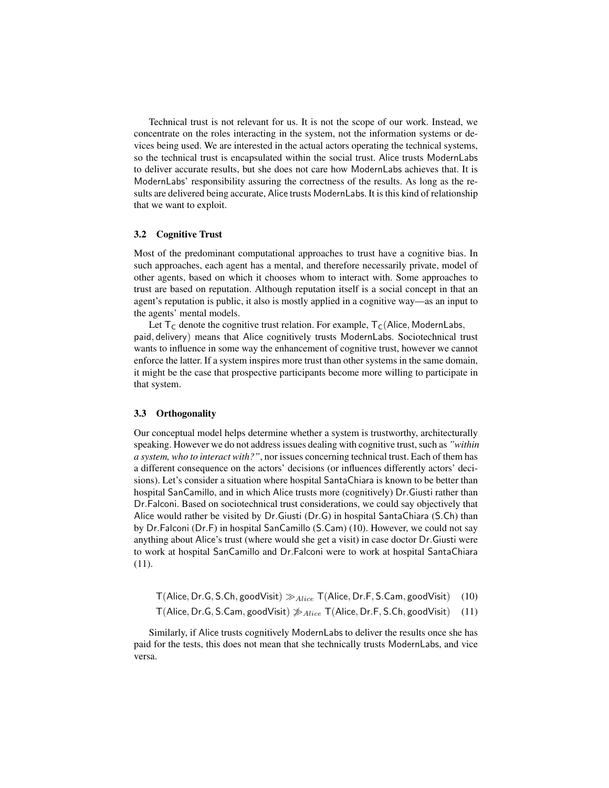Technical trust is not relevant for us. It is not the scope of our work. Instead, we concentrate on the roles interacting in the system, not the information systems or devices being used. We are interested in the actual actors operating the technical systems, so the technical trust is encapsulated within the social trust. Alice trusts ModernLabs to deliver accurate results, but she does not care how ModernLabs achieves that. It is ModernLabs' responsibility assuring the correctness of the results. As long as the results are delivered being accurate, Alice trusts ModernLabs. It is this kind of relationship that we want to exploit.

#### 3.2 Cognitive Trust

Most of the predominant computational approaches to trust have a cognitive bias. In such approaches, each agent has a mental, and therefore necessarily private, model of other agents, based on which it chooses whom to interact with. Some approaches to trust are based on reputation. Although reputation itself is a social concept in that an agent's reputation is public, it also is mostly applied in a cognitive way—as an input to the agents' mental models.

Let  $T_c$  denote the cognitive trust relation. For example,  $T_c$ (Alice, ModernLabs, paid, delivery) means that Alice cognitively trusts ModernLabs. Sociotechnical trust wants to influence in some way the enhancement of cognitive trust, however we cannot enforce the latter. If a system inspires more trust than other systems in the same domain, it might be the case that prospective participants become more willing to participate in that system.

#### 3.3 Orthogonality

Our conceptual model helps determine whether a system is trustworthy, architecturally speaking. However we do not address issues dealing with cognitive trust, such as *"within a system, who to interact with?"*, nor issues concerning technical trust. Each of them has a different consequence on the actors' decisions (or influences differently actors' decisions). Let's consider a situation where hospital SantaChiara is known to be better than hospital SanCamillo, and in which Alice trusts more (cognitively) Dr.Giusti rather than Dr.Falconi. Based on sociotechnical trust considerations, we could say objectively that Alice would rather be visited by Dr.Giusti (Dr.G) in hospital SantaChiara (S.Ch) than by Dr.Falconi (Dr.F) in hospital SanCamillo (S.Cam) (10). However, we could not say anything about Alice's trust (where would she get a visit) in case doctor Dr.Giusti were to work at hospital SanCamillo and Dr.Falconi were to work at hospital SantaChiara (11).

 $T(Alice, Dr.G, S.Ch, goodVisit) \gg_{Alice} T(Alice, Dr.F, S.Cam, goodVisit)$  (10)

 $T(Alice, Dr.G, S.Cam, goodVisit) \nless$  Alice, T(Alice, Dr.F, S.Ch, goodVisit) (11)

Similarly, if Alice trusts cognitively ModernLabs to deliver the results once she has paid for the tests, this does not mean that she technically trusts ModernLabs, and vice versa.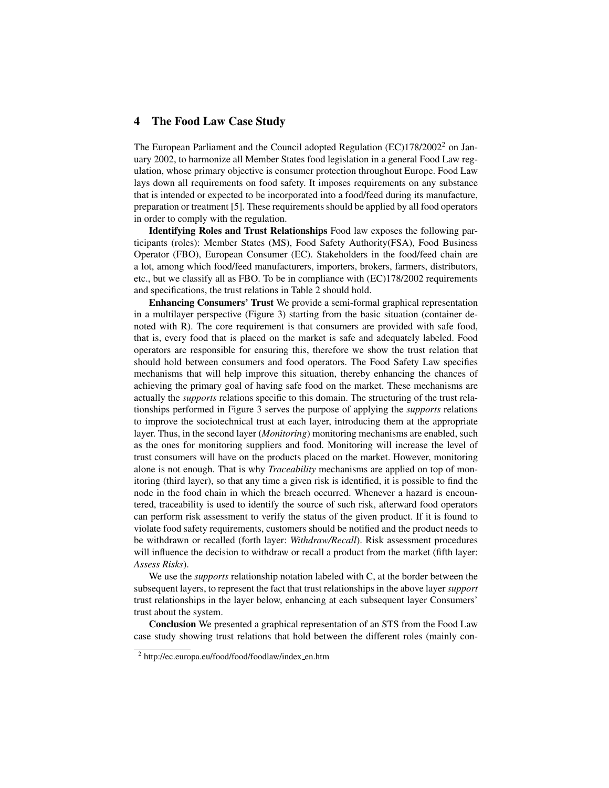## 4 The Food Law Case Study

The European Parliament and the Council adopted Regulation (EC)178/2002<sup>2</sup> on January 2002, to harmonize all Member States food legislation in a general Food Law regulation, whose primary objective is consumer protection throughout Europe. Food Law lays down all requirements on food safety. It imposes requirements on any substance that is intended or expected to be incorporated into a food/feed during its manufacture, preparation or treatment [5]. These requirements should be applied by all food operators in order to comply with the regulation.

Identifying Roles and Trust Relationships Food law exposes the following participants (roles): Member States (MS), Food Safety Authority(FSA), Food Business Operator (FBO), European Consumer (EC). Stakeholders in the food/feed chain are a lot, among which food/feed manufacturers, importers, brokers, farmers, distributors, etc., but we classify all as FBO. To be in compliance with (EC)178/2002 requirements and specifications, the trust relations in Table 2 should hold.

Enhancing Consumers' Trust We provide a semi-formal graphical representation in a multilayer perspective (Figure 3) starting from the basic situation (container denoted with R). The core requirement is that consumers are provided with safe food, that is, every food that is placed on the market is safe and adequately labeled. Food operators are responsible for ensuring this, therefore we show the trust relation that should hold between consumers and food operators. The Food Safety Law specifies mechanisms that will help improve this situation, thereby enhancing the chances of achieving the primary goal of having safe food on the market. These mechanisms are actually the *supports* relations specific to this domain. The structuring of the trust relationships performed in Figure 3 serves the purpose of applying the *supports* relations to improve the sociotechnical trust at each layer, introducing them at the appropriate layer. Thus, in the second layer (*Monitoring*) monitoring mechanisms are enabled, such as the ones for monitoring suppliers and food. Monitoring will increase the level of trust consumers will have on the products placed on the market. However, monitoring alone is not enough. That is why *Traceability* mechanisms are applied on top of monitoring (third layer), so that any time a given risk is identified, it is possible to find the node in the food chain in which the breach occurred. Whenever a hazard is encountered, traceability is used to identify the source of such risk, afterward food operators can perform risk assessment to verify the status of the given product. If it is found to violate food safety requirements, customers should be notified and the product needs to be withdrawn or recalled (forth layer: *Withdraw/Recall*). Risk assessment procedures will influence the decision to withdraw or recall a product from the market (fifth layer: *Assess Risks*).

We use the *supports* relationship notation labeled with C, at the border between the subsequent layers, to represent the fact that trust relationships in the above layer *support* trust relationships in the layer below, enhancing at each subsequent layer Consumers' trust about the system.

Conclusion We presented a graphical representation of an STS from the Food Law case study showing trust relations that hold between the different roles (mainly con-

<sup>&</sup>lt;sup>2</sup> http://ec.europa.eu/food/food/foodlaw/index\_en.htm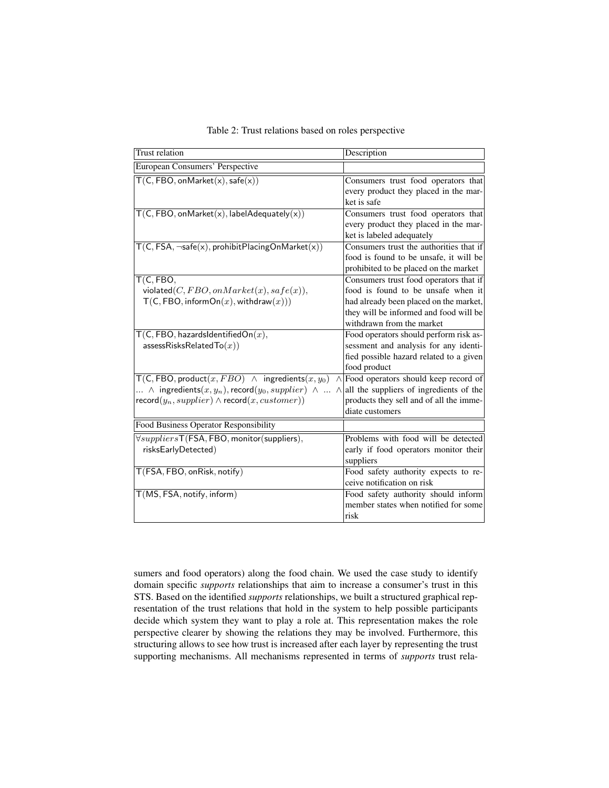| <b>Trust relation</b>                                                                                                                                                                                              | Description                                                                                                                                                                                   |  |
|--------------------------------------------------------------------------------------------------------------------------------------------------------------------------------------------------------------------|-----------------------------------------------------------------------------------------------------------------------------------------------------------------------------------------------|--|
| European Consumers' Perspective                                                                                                                                                                                    |                                                                                                                                                                                               |  |
| T(C, FBO, onMarket(x), safe(x))                                                                                                                                                                                    | Consumers trust food operators that<br>every product they placed in the mar-<br>ket is safe                                                                                                   |  |
| $T(C, FBO, onMarket(x), labelAdequately(x))$                                                                                                                                                                       | Consumers trust food operators that<br>every product they placed in the mar-<br>ket is labeled adequately                                                                                     |  |
| $T(C, FSA, \neg safe(x), prohibitPlacingOnMarket(x))$                                                                                                                                                              | Consumers trust the authorities that if<br>food is found to be unsafe, it will be<br>prohibited to be placed on the market                                                                    |  |
| T(C, FBO,<br>violated(C, FBO, onMarket(x), safe(x)),<br>T(C, FBO, informOn(x), with draw(x)))                                                                                                                      | Consumers trust food operators that if<br>food is found to be unsafe when it<br>had already been placed on the market,<br>they will be informed and food will be<br>withdrawn from the market |  |
| $\mathsf{T}(\mathsf{C},\mathsf{FBO},\mathsf{hazardsldentifiedOn}(x),$<br>assessRisksRelatedTo $(x)$ )                                                                                                              | Food operators should perform risk as-<br>sessment and analysis for any identi-<br>fied possible hazard related to a given<br>food product                                                    |  |
| $T(C, FBO, product(x, FBO) \wedge ingredients(x, y_0)$<br>$\ldots \wedge$ ingredients $(x, y_n)$ , record $(y_0, supplier) \wedge \ldots$<br>$\mathsf{record}(y_n, supplier) \wedge \mathsf{record}(x, customer))$ | $\wedge$ Food operators should keep record of<br>all the suppliers of ingredients of the<br>products they sell and of all the imme-<br>diate customers                                        |  |
| Food Business Operator Responsibility                                                                                                                                                                              |                                                                                                                                                                                               |  |
| $\forall suppliers$ T(FSA, FBO, monitor(suppliers),<br>risksEarlyDetected)                                                                                                                                         | Problems with food will be detected<br>early if food operators monitor their<br>suppliers                                                                                                     |  |
| T(FSA, FBO, onRisk, notify)                                                                                                                                                                                        | Food safety authority expects to re-<br>ceive notification on risk                                                                                                                            |  |
| T(MS, FSA, notify, inform)                                                                                                                                                                                         | Food safety authority should inform<br>member states when notified for some<br>risk                                                                                                           |  |

Table 2: Trust relations based on roles perspective

sumers and food operators) along the food chain. We used the case study to identify domain specific *supports* relationships that aim to increase a consumer's trust in this STS. Based on the identified *supports* relationships, we built a structured graphical representation of the trust relations that hold in the system to help possible participants decide which system they want to play a role at. This representation makes the role perspective clearer by showing the relations they may be involved. Furthermore, this structuring allows to see how trust is increased after each layer by representing the trust supporting mechanisms. All mechanisms represented in terms of *supports* trust rela-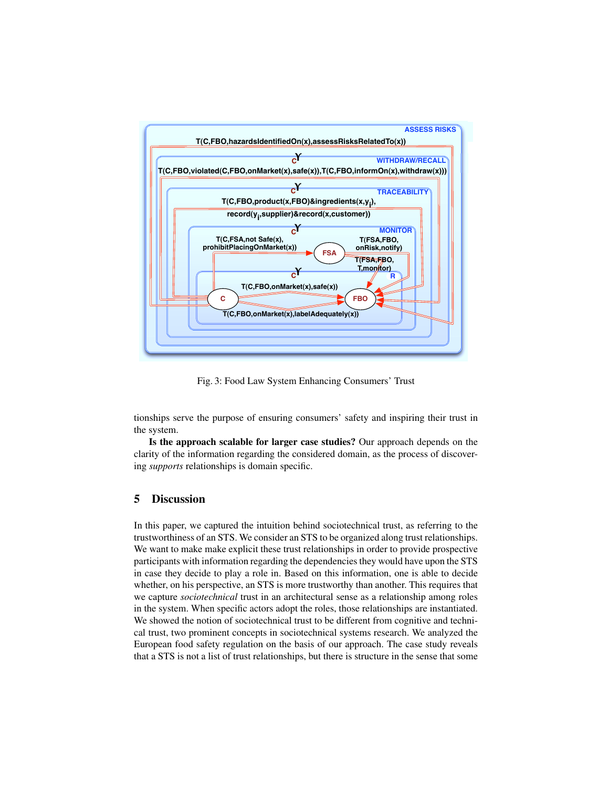

Fig. 3: Food Law System Enhancing Consumers' Trust

tionships serve the purpose of ensuring consumers' safety and inspiring their trust in the system.

Is the approach scalable for larger case studies? Our approach depends on the clarity of the information regarding the considered domain, as the process of discovering *supports* relationships is domain specific.

## 5 Discussion

In this paper, we captured the intuition behind sociotechnical trust, as referring to the trustworthiness of an STS. We consider an STS to be organized along trust relationships. We want to make make explicit these trust relationships in order to provide prospective participants with information regarding the dependencies they would have upon the STS in case they decide to play a role in. Based on this information, one is able to decide whether, on his perspective, an STS is more trustworthy than another. This requires that we capture *sociotechnical* trust in an architectural sense as a relationship among roles in the system. When specific actors adopt the roles, those relationships are instantiated. We showed the notion of sociotechnical trust to be different from cognitive and technical trust, two prominent concepts in sociotechnical systems research. We analyzed the European food safety regulation on the basis of our approach. The case study reveals that a STS is not a list of trust relationships, but there is structure in the sense that some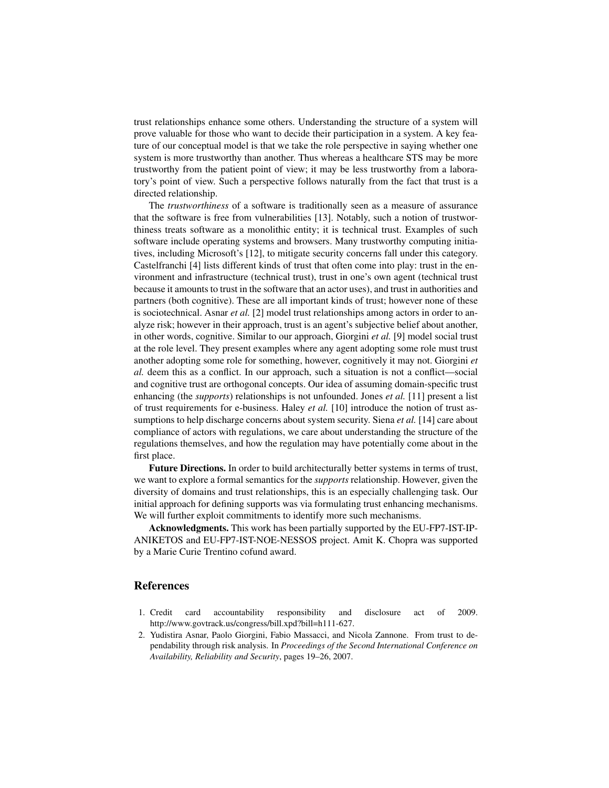trust relationships enhance some others. Understanding the structure of a system will prove valuable for those who want to decide their participation in a system. A key feature of our conceptual model is that we take the role perspective in saying whether one system is more trustworthy than another. Thus whereas a healthcare STS may be more trustworthy from the patient point of view; it may be less trustworthy from a laboratory's point of view. Such a perspective follows naturally from the fact that trust is a directed relationship.

The *trustworthiness* of a software is traditionally seen as a measure of assurance that the software is free from vulnerabilities [13]. Notably, such a notion of trustworthiness treats software as a monolithic entity; it is technical trust. Examples of such software include operating systems and browsers. Many trustworthy computing initiatives, including Microsoft's [12], to mitigate security concerns fall under this category. Castelfranchi [4] lists different kinds of trust that often come into play: trust in the environment and infrastructure (technical trust), trust in one's own agent (technical trust because it amounts to trust in the software that an actor uses), and trust in authorities and partners (both cognitive). These are all important kinds of trust; however none of these is sociotechnical. Asnar *et al.* [2] model trust relationships among actors in order to analyze risk; however in their approach, trust is an agent's subjective belief about another, in other words, cognitive. Similar to our approach, Giorgini *et al.* [9] model social trust at the role level. They present examples where any agent adopting some role must trust another adopting some role for something, however, cognitively it may not. Giorgini *et al.* deem this as a conflict. In our approach, such a situation is not a conflict—social and cognitive trust are orthogonal concepts. Our idea of assuming domain-specific trust enhancing (the *supports*) relationships is not unfounded. Jones *et al.* [11] present a list of trust requirements for e-business. Haley *et al.* [10] introduce the notion of trust assumptions to help discharge concerns about system security. Siena *et al.* [14] care about compliance of actors with regulations, we care about understanding the structure of the regulations themselves, and how the regulation may have potentially come about in the first place.

Future Directions. In order to build architecturally better systems in terms of trust, we want to explore a formal semantics for the *supports* relationship. However, given the diversity of domains and trust relationships, this is an especially challenging task. Our initial approach for defining supports was via formulating trust enhancing mechanisms. We will further exploit commitments to identify more such mechanisms.

Acknowledgments. This work has been partially supported by the EU-FP7-IST-IP-ANIKETOS and EU-FP7-IST-NOE-NESSOS project. Amit K. Chopra was supported by a Marie Curie Trentino cofund award.

### **References**

- 1. Credit card accountability responsibility and disclosure act of 2009. http://www.govtrack.us/congress/bill.xpd?bill=h111-627.
- 2. Yudistira Asnar, Paolo Giorgini, Fabio Massacci, and Nicola Zannone. From trust to dependability through risk analysis. In *Proceedings of the Second International Conference on Availability, Reliability and Security*, pages 19–26, 2007.